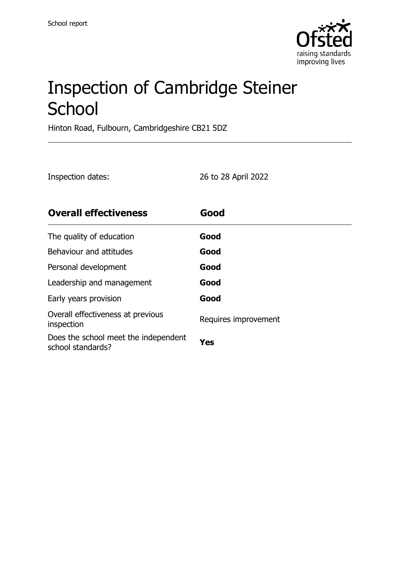

# Inspection of Cambridge Steiner **School**

Hinton Road, Fulbourn, Cambridgeshire CB21 5DZ

| Inspection dates: | 26 to 28 April 2022 |
|-------------------|---------------------|
|-------------------|---------------------|

| <b>Overall effectiveness</b>                              | Good                 |
|-----------------------------------------------------------|----------------------|
| The quality of education                                  | Good                 |
| Behaviour and attitudes                                   | Good                 |
| Personal development                                      | Good                 |
| Leadership and management                                 | Good                 |
| Early years provision                                     | Good                 |
| Overall effectiveness at previous<br>inspection           | Requires improvement |
| Does the school meet the independent<br>school standards? | Yes                  |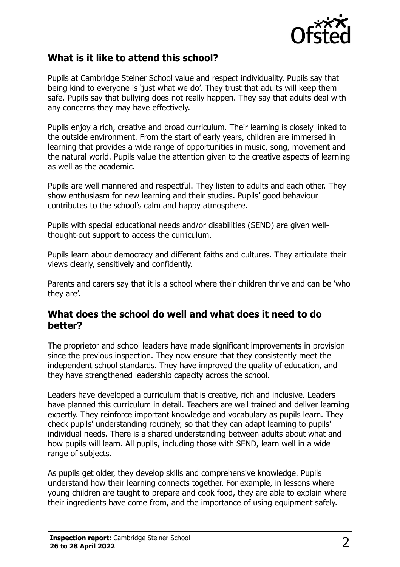

#### **What is it like to attend this school?**

Pupils at Cambridge Steiner School value and respect individuality. Pupils say that being kind to everyone is 'just what we do'. They trust that adults will keep them safe. Pupils say that bullying does not really happen. They say that adults deal with any concerns they may have effectively.

Pupils enjoy a rich, creative and broad curriculum. Their learning is closely linked to the outside environment. From the start of early years, children are immersed in learning that provides a wide range of opportunities in music, song, movement and the natural world. Pupils value the attention given to the creative aspects of learning as well as the academic.

Pupils are well mannered and respectful. They listen to adults and each other. They show enthusiasm for new learning and their studies. Pupils' good behaviour contributes to the school's calm and happy atmosphere.

Pupils with special educational needs and/or disabilities (SEND) are given wellthought-out support to access the curriculum.

Pupils learn about democracy and different faiths and cultures. They articulate their views clearly, sensitively and confidently.

Parents and carers say that it is a school where their children thrive and can be 'who they are'.

#### **What does the school do well and what does it need to do better?**

The proprietor and school leaders have made significant improvements in provision since the previous inspection. They now ensure that they consistently meet the independent school standards. They have improved the quality of education, and they have strengthened leadership capacity across the school.

Leaders have developed a curriculum that is creative, rich and inclusive. Leaders have planned this curriculum in detail. Teachers are well trained and deliver learning expertly. They reinforce important knowledge and vocabulary as pupils learn. They check pupils' understanding routinely, so that they can adapt learning to pupils' individual needs. There is a shared understanding between adults about what and how pupils will learn. All pupils, including those with SEND, learn well in a wide range of subjects.

As pupils get older, they develop skills and comprehensive knowledge. Pupils understand how their learning connects together. For example, in lessons where young children are taught to prepare and cook food, they are able to explain where their ingredients have come from, and the importance of using equipment safely.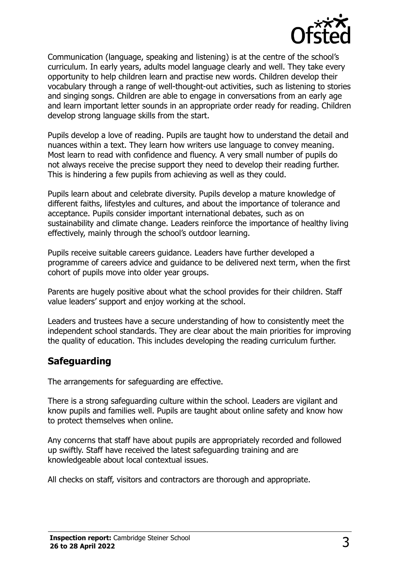

Communication (language, speaking and listening) is at the centre of the school's curriculum. In early years, adults model language clearly and well. They take every opportunity to help children learn and practise new words. Children develop their vocabulary through a range of well-thought-out activities, such as listening to stories and singing songs. Children are able to engage in conversations from an early age and learn important letter sounds in an appropriate order ready for reading. Children develop strong language skills from the start.

Pupils develop a love of reading. Pupils are taught how to understand the detail and nuances within a text. They learn how writers use language to convey meaning. Most learn to read with confidence and fluency. A very small number of pupils do not always receive the precise support they need to develop their reading further. This is hindering a few pupils from achieving as well as they could.

Pupils learn about and celebrate diversity. Pupils develop a mature knowledge of different faiths, lifestyles and cultures, and about the importance of tolerance and acceptance. Pupils consider important international debates, such as on sustainability and climate change. Leaders reinforce the importance of healthy living effectively, mainly through the school's outdoor learning.

Pupils receive suitable careers guidance. Leaders have further developed a programme of careers advice and guidance to be delivered next term, when the first cohort of pupils move into older year groups.

Parents are hugely positive about what the school provides for their children. Staff value leaders' support and enjoy working at the school.

Leaders and trustees have a secure understanding of how to consistently meet the independent school standards. They are clear about the main priorities for improving the quality of education. This includes developing the reading curriculum further.

#### **Safeguarding**

The arrangements for safeguarding are effective.

There is a strong safeguarding culture within the school. Leaders are vigilant and know pupils and families well. Pupils are taught about online safety and know how to protect themselves when online.

Any concerns that staff have about pupils are appropriately recorded and followed up swiftly. Staff have received the latest safeguarding training and are knowledgeable about local contextual issues.

All checks on staff, visitors and contractors are thorough and appropriate.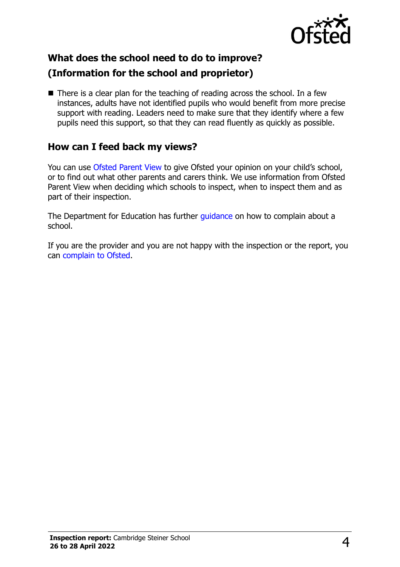

# **What does the school need to do to improve? (Information for the school and proprietor)**

 $\blacksquare$  There is a clear plan for the teaching of reading across the school. In a few instances, adults have not identified pupils who would benefit from more precise support with reading. Leaders need to make sure that they identify where a few pupils need this support, so that they can read fluently as quickly as possible.

# **How can I feed back my views?**

You can use [Ofsted Parent View](http://parentview.ofsted.gov.uk/) to give Ofsted your opinion on your child's school, or to find out what other parents and carers think. We use information from Ofsted Parent View when deciding which schools to inspect, when to inspect them and as part of their inspection.

The Department for Education has further [guidance](http://www.gov.uk/complain-about-school) on how to complain about a school.

If you are the provider and you are not happy with the inspection or the report, you can [complain to Ofsted.](http://www.gov.uk/complain-ofsted-report)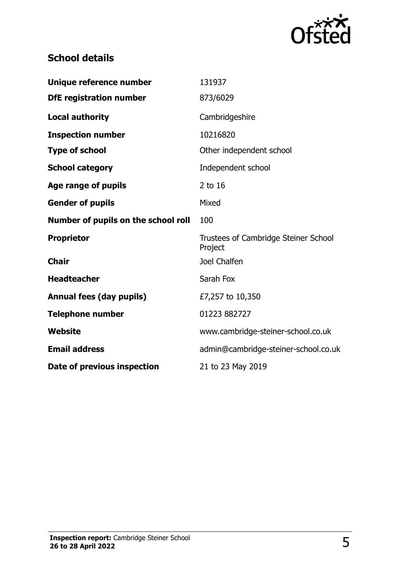

# **School details**

| Unique reference number             | 131937                                          |
|-------------------------------------|-------------------------------------------------|
| <b>DfE</b> registration number      | 873/6029                                        |
| <b>Local authority</b>              | Cambridgeshire                                  |
| <b>Inspection number</b>            | 10216820                                        |
| <b>Type of school</b>               | Other independent school                        |
| <b>School category</b>              | Independent school                              |
| Age range of pupils                 | 2 to 16                                         |
| <b>Gender of pupils</b>             | Mixed                                           |
| Number of pupils on the school roll | 100                                             |
| <b>Proprietor</b>                   | Trustees of Cambridge Steiner School<br>Project |
| <b>Chair</b>                        | Joel Chalfen                                    |
| <b>Headteacher</b>                  | Sarah Fox                                       |
| <b>Annual fees (day pupils)</b>     | £7,257 to 10,350                                |
| <b>Telephone number</b>             | 01223 882727                                    |
| <b>Website</b>                      | www.cambridge-steiner-school.co.uk              |
| <b>Email address</b>                | admin@cambridge-steiner-school.co.uk            |
| Date of previous inspection         | 21 to 23 May 2019                               |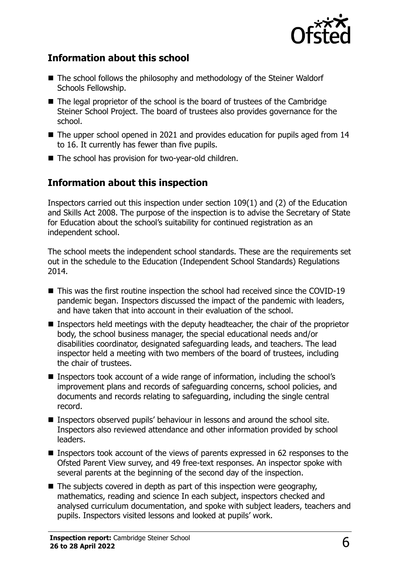

## **Information about this school**

- The school follows the philosophy and methodology of the Steiner Waldorf Schools Fellowship.
- The legal proprietor of the school is the board of trustees of the Cambridge Steiner School Project. The board of trustees also provides governance for the school.
- The upper school opened in 2021 and provides education for pupils aged from 14 to 16. It currently has fewer than five pupils.
- The school has provision for two-year-old children.

## **Information about this inspection**

Inspectors carried out this inspection under section 109(1) and (2) of the Education and Skills Act 2008. The purpose of the inspection is to advise the Secretary of State for Education about the school's suitability for continued registration as an independent school.

The school meets the independent school standards. These are the requirements set out in the schedule to the Education (Independent School Standards) Regulations 2014.

- This was the first routine inspection the school had received since the COVID-19 pandemic began. Inspectors discussed the impact of the pandemic with leaders, and have taken that into account in their evaluation of the school.
- Inspectors held meetings with the deputy headteacher, the chair of the proprietor body, the school business manager, the special educational needs and/or disabilities coordinator, designated safeguarding leads, and teachers. The lead inspector held a meeting with two members of the board of trustees, including the chair of trustees.
- Inspectors took account of a wide range of information, including the school's improvement plans and records of safeguarding concerns, school policies, and documents and records relating to safeguarding, including the single central record.
- Inspectors observed pupils' behaviour in lessons and around the school site. Inspectors also reviewed attendance and other information provided by school leaders.
- Inspectors took account of the views of parents expressed in 62 responses to the Ofsted Parent View survey, and 49 free-text responses. An inspector spoke with several parents at the beginning of the second day of the inspection.
- $\blacksquare$  The subjects covered in depth as part of this inspection were geography, mathematics, reading and science In each subject, inspectors checked and analysed curriculum documentation, and spoke with subject leaders, teachers and pupils. Inspectors visited lessons and looked at pupils' work.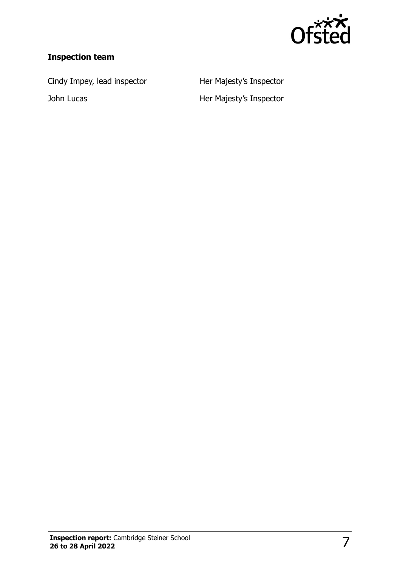

## **Inspection team**

Cindy Impey, lead inspector **Her Majesty's Inspector** 

John Lucas **Her Majesty's Inspector**